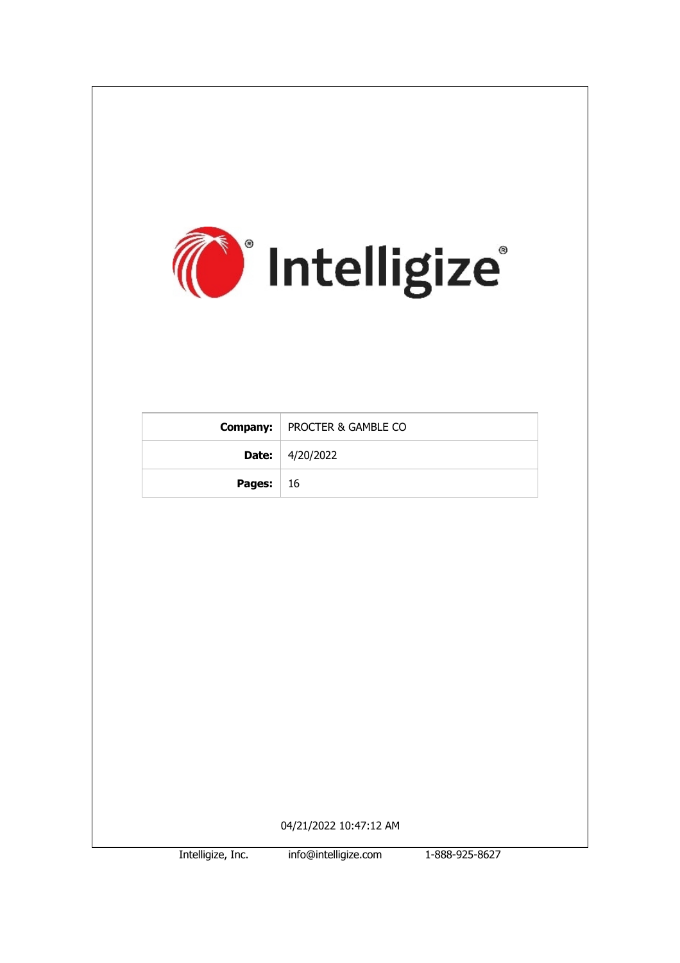

Intelligize, Inc. info@intelligize.com 1-888-925-8627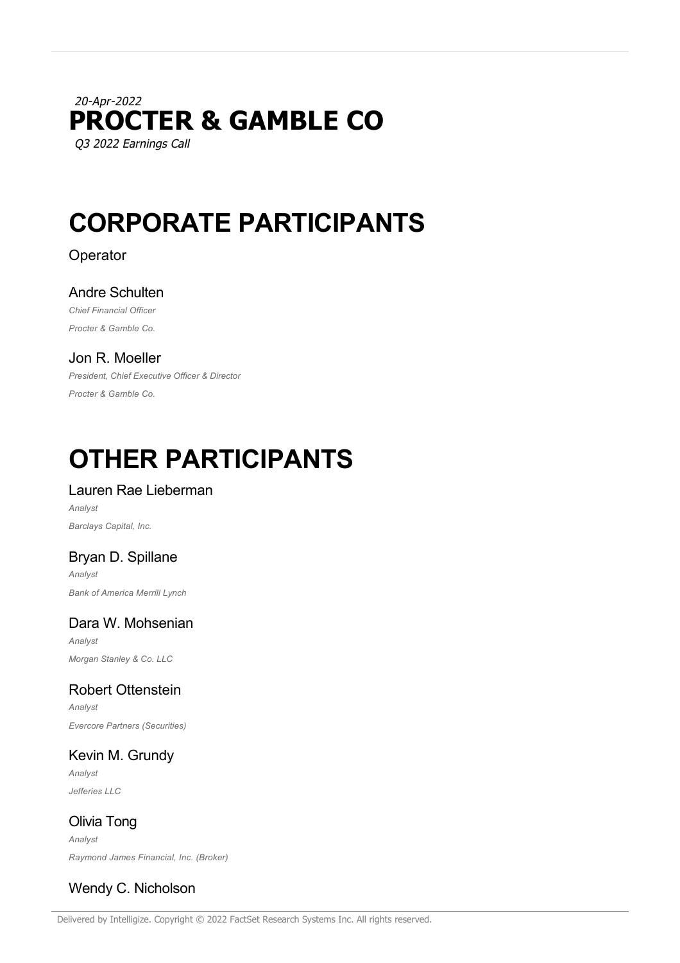# 20-Apr-2022 **PROCTER & GAMBLE CO** Q3 2022 Earnings Call

# **CORPORATE PARTICIPANTS**

# Operator

# Andre Schulten

*Chief Financial Officer Procter & Gamble Co.*

# Jon R. Moeller

*President, Chief Executive Officer & Director Procter & Gamble Co.*

# **OTHER PARTICIPANTS**

# Lauren Rae Lieberman

*Analyst Barclays Capital, Inc.*

# Bryan D. Spillane

*Analyst Bank of America Merrill Lynch*

# Dara W. Mohsenian

*Analyst Morgan Stanley & Co. LLC*

# Robert Ottenstein

*Analyst Evercore Partners (Securities)*

# Kevin M. Grundy

*Analyst Jefferies LLC*

Olivia Tong *Analyst Raymond James Financial, Inc. (Broker)*

# Wendy C. Nicholson

Delivered by Intelligize. Copyright © 2022 FactSet Research Systems Inc. All rights reserved.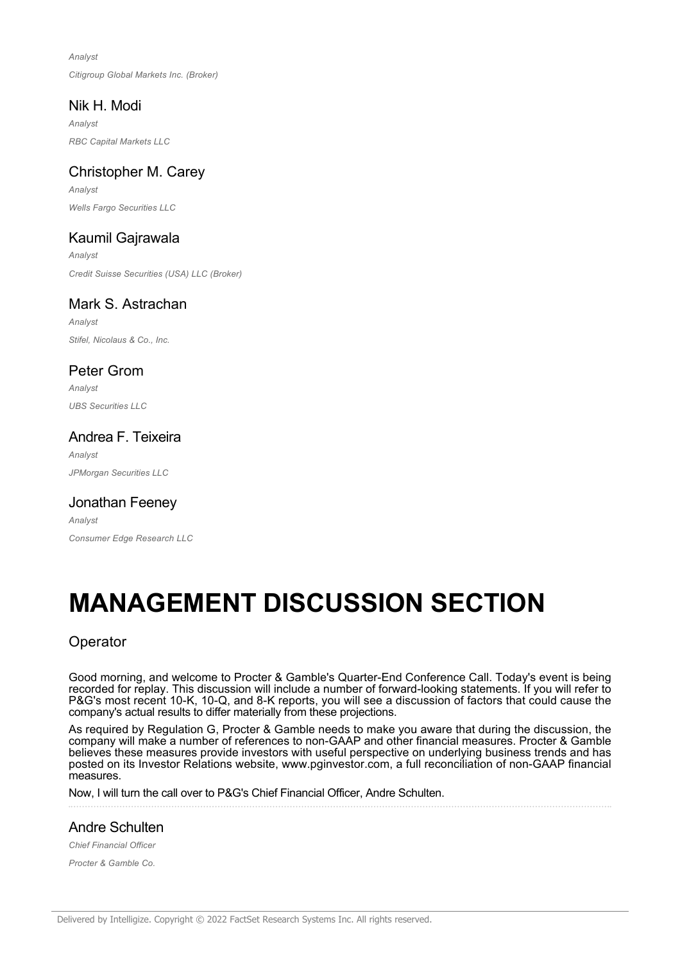*Analyst Citigroup Global Markets Inc. (Broker)*

# Nik H. Modi

*Analyst RBC Capital Markets LLC*

# Christopher M. Carey

*Analyst Wells Fargo Securities LLC*

# Kaumil Gajrawala

*Analyst Credit Suisse Securities (USA) LLC (Broker)*

# Mark S. Astrachan

*Analyst Stifel, Nicolaus & Co., Inc.*

# Peter Grom

*Analyst UBS Securities LLC*

# Andrea F. Teixeira

*Analyst JPMorgan Securities LLC*

# Jonathan Feeney

*Analyst Consumer Edge Research LLC*

# **MANAGEMENT DISCUSSION SECTION**

# **Operator**

Good morning, and welcome to Procter & Gamble's Quarter-End Conference Call. Today's event is being recorded for replay. This discussion will include a number of forward-looking statements. If you will refer to P&G's most recent 10-K, 10-Q, and 8-K reports, you will see a discussion of factors that could cause the company's actual results to differ materially from these projections.

As required by Regulation G, Procter & Gamble needs to make you aware that during the discussion, the company will make a number of references to non-GAAP and other financial measures. Procter & Gamble believes these measures provide investors with useful perspective on underlying business trends and has posted on its Investor Relations website, www.pginvestor.com, a full reconciliation of non-GAAP financial measures.

Now, I will turn the call over to P&G's Chief Financial Officer, Andre Schulten.

# Andre Schulten

*Chief Financial Officer*

*Procter & Gamble Co.*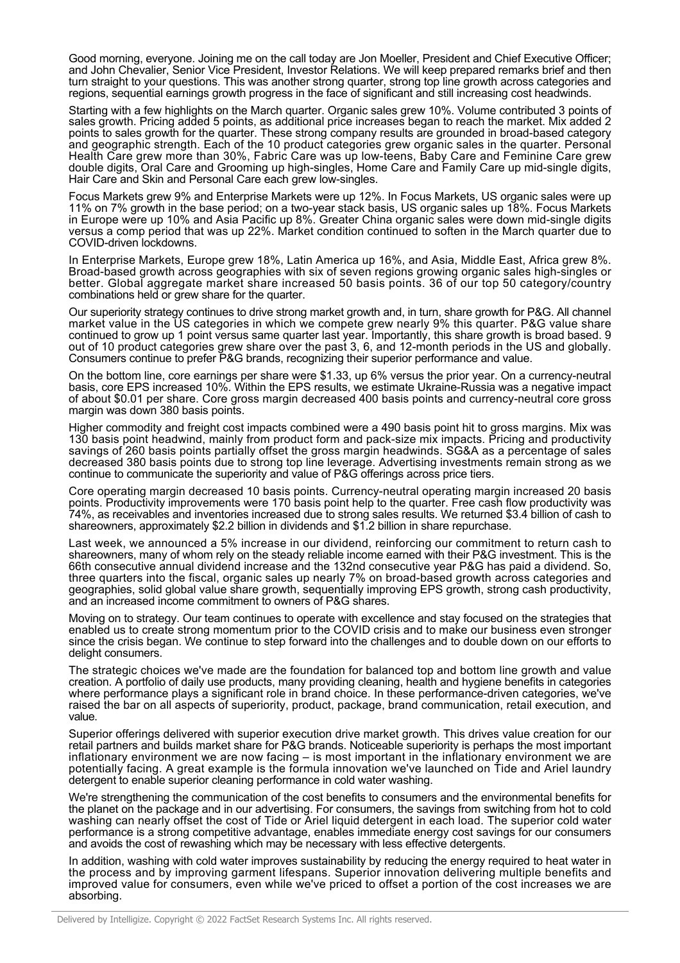Good morning, everyone. Joining me on the call today are Jon Moeller, President and Chief Executive Officer; and John Chevalier, Senior Vice President, Investor Relations. We will keep prepared remarks brief and then turn straight to your questions. This was another strong quarter, strong top line growth across categories and regions, sequential earnings growth progress in the face of significant and still increasing cost headwinds.

Starting with a few highlights on the March quarter. Organic sales grew 10%. Volume contributed 3 points of sales growth. Pricing added 5 points, as additional price increases began to reach the market. Mix added 2 points to sales growth for the quarter. These strong company results are grounded in broad-based category and geographic strength. Each of the 10 product categories grew organic sales in the quarter. Personal Health Care grew more than 30%, Fabric Care was up low-teens, Baby Care and Feminine Care grew double digits, Oral Care and Grooming up high-singles, Home Care and Family Care up mid-single digits, Hair Care and Skin and Personal Care each grew low-singles.

Focus Markets grew 9% and Enterprise Markets were up 12%. In Focus Markets, US organic sales were up 11% on 7% growth in the base period; on a two-year stack basis, US organic sales up 18%. Focus Markets in Europe were up 10% and Asia Pacific up 8%. Greater China organic sales were down mid-single digits versus a comp period that was up 22%. Market condition continued to soften in the March quarter due to COVID-driven lockdowns.

In Enterprise Markets, Europe grew 18%, Latin America up 16%, and Asia, Middle East, Africa grew 8%. Broad-based growth across geographies with six of seven regions growing organic sales high-singles or better. Global aggregate market share increased 50 basis points. 36 of our top 50 category/country combinations held or grew share for the quarter.

Our superiority strategy continues to drive strong market growth and, in turn, share growth for P&G. All channel market value in the US categories in which we compete grew nearly 9% this quarter. P&G value share continued to grow up 1 point versus same quarter last year. Importantly, this share growth is broad based. 9 out of 10 product categories grew share over the past 3, 6, and 12-month periods in the US and globally. Consumers continue to prefer P&G brands, recognizing their superior performance and value.

On the bottom line, core earnings per share were \$1.33, up 6% versus the prior year. On a currency-neutral basis, core EPS increased 10%. Within the EPS results, we estimate Ukraine-Russia was a negative impact of about \$0.01 per share. Core gross margin decreased 400 basis points and currency-neutral core gross margin was down 380 basis points.

Higher commodity and freight cost impacts combined were a 490 basis point hit to gross margins. Mix was 130 basis point headwind, mainly from product form and pack-size mix impacts. Pricing and productivity savings of 260 basis points partially offset the gross margin headwinds. SG&A as a percentage of sales decreased 380 basis points due to strong top line leverage. Advertising investments remain strong as we continue to communicate the superiority and value of P&G offerings across price tiers.

Core operating margin decreased 10 basis points. Currency-neutral operating margin increased 20 basis points. Productivity improvements were 170 basis point help to the quarter. Free cash flow productivity was 74%, as receivables and inventories increased due to strong sales results. We returned \$3.4 billion of cash to shareowners, approximately \$2.2 billion in dividends and \$1.2 billion in share repurchase.

Last week, we announced a 5% increase in our dividend, reinforcing our commitment to return cash to shareowners, many of whom rely on the steady reliable income earned with their P&G investment. This is the 66th consecutive annual dividend increase and the 132nd consecutive year P&G has paid a dividend. So, three quarters into the fiscal, organic sales up nearly 7% on broad-based growth across categories and geographies, solid global value share growth, sequentially improving EPS growth, strong cash productivity, and an increased income commitment to owners of P&G shares.

Moving on to strategy. Our team continues to operate with excellence and stay focused on the strategies that enabled us to create strong momentum prior to the COVID crisis and to make our business even stronger since the crisis began. We continue to step forward into the challenges and to double down on our efforts to delight consumers.

The strategic choices we've made are the foundation for balanced top and bottom line growth and value creation. A portfolio of daily use products, many providing cleaning, health and hygiene benefits in categories where performance plays a significant role in brand choice. In these performance-driven categories, we've raised the bar on all aspects of superiority, product, package, brand communication, retail execution, and value.

Superior offerings delivered with superior execution drive market growth. This drives value creation for our retail partners and builds market share for P&G brands. Noticeable superiority is perhaps the most important inflationary environment we are now facing – is most important in the inflationary environment we are potentially facing. A great example is the formula innovation we've launched on Tide and Ariel laundry detergent to enable superior cleaning performance in cold water washing.

We're strengthening the communication of the cost benefits to consumers and the environmental benefits for the planet on the package and in our advertising. For consumers, the savings from switching from hot to cold washing can nearly offset the cost of Tide or Ariel liquid detergent in each load. The superior cold water performance is a strong competitive advantage, enables immediate energy cost savings for our consumers and avoids the cost of rewashing which may be necessary with less effective detergents.

In addition, washing with cold water improves sustainability by reducing the energy required to heat water in the process and by improving garment lifespans. Superior innovation delivering multiple benefits and improved value for consumers, even while we've priced to offset a portion of the cost increases we are absorbing.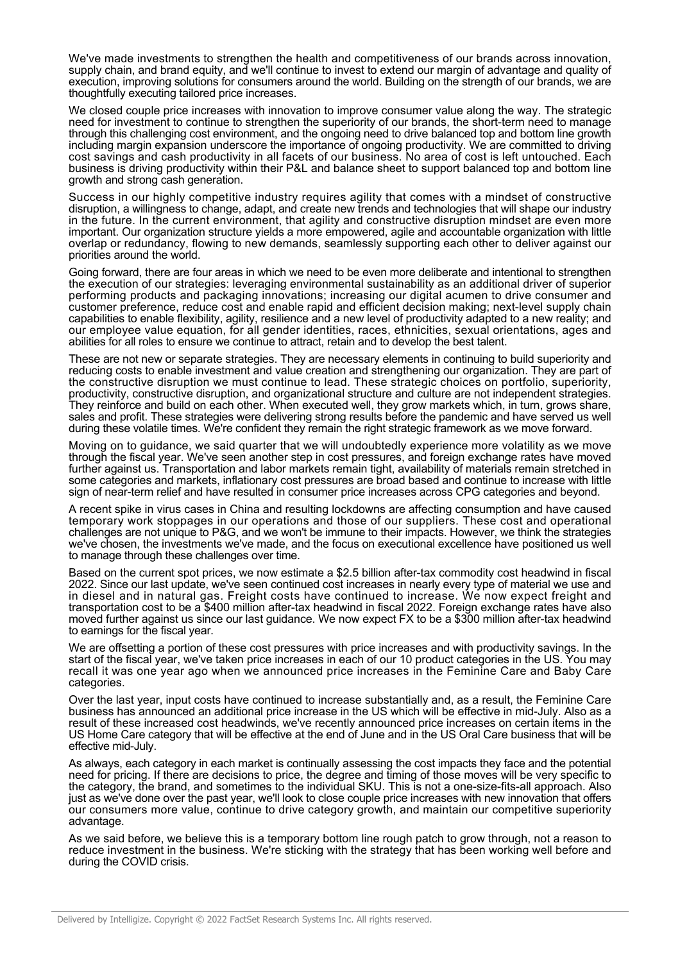We've made investments to strengthen the health and competitiveness of our brands across innovation, supply chain, and brand equity, and we'll continue to invest to extend our margin of advantage and quality of execution, improving solutions for consumers around the world. Building on the strength of our brands, we are thoughtfully executing tailored price increases.

We closed couple price increases with innovation to improve consumer value along the way. The strategic need for investment to continue to strengthen the superiority of our brands, the short-term need to manage through this challenging cost environment, and the ongoing need to drive balanced top and bottom line growth including margin expansion underscore the importance of ongoing productivity. We are committed to driving cost savings and cash productivity in all facets of our business. No area of cost is left untouched. Each business is driving productivity within their P&L and balance sheet to support balanced top and bottom line growth and strong cash generation.

Success in our highly competitive industry requires agility that comes with a mindset of constructive disruption, a willingness to change, adapt, and create new trends and technologies that will shape our industry in the future. In the current environment, that agility and constructive disruption mindset are even more important. Our organization structure yields a more empowered, agile and accountable organization with little overlap or redundancy, flowing to new demands, seamlessly supporting each other to deliver against our priorities around the world.

Going forward, there are four areas in which we need to be even more deliberate and intentional to strengthen the execution of our strategies: leveraging environmental sustainability as an additional driver of superior performing products and packaging innovations; increasing our digital acumen to drive consumer and customer preference, reduce cost and enable rapid and efficient decision making; next-level supply chain capabilities to enable flexibility, agility, resilience and a new level of productivity adapted to a new reality; and our employee value equation, for all gender identities, races, ethnicities, sexual orientations, ages and abilities for all roles to ensure we continue to attract, retain and to develop the best talent.

These are not new or separate strategies. They are necessary elements in continuing to build superiority and reducing costs to enable investment and value creation and strengthening our organization. They are part of the constructive disruption we must continue to lead. These strategic choices on portfolio, superiority, productivity, constructive disruption, and organizational structure and culture are not independent strategies. They reinforce and build on each other. When executed well, they grow markets which, in turn, grows share, sales and profit. These strategies were delivering strong results before the pandemic and have served us well during these volatile times. We're confident they remain the right strategic framework as we move forward.

Moving on to guidance, we said quarter that we will undoubtedly experience more volatility as we move through the fiscal year. We've seen another step in cost pressures, and foreign exchange rates have moved further against us. Transportation and labor markets remain tight, availability of materials remain stretched in some categories and markets, inflationary cost pressures are broad based and continue to increase with little sign of near-term relief and have resulted in consumer price increases across CPG categories and beyond.

A recent spike in virus cases in China and resulting lockdowns are affecting consumption and have caused temporary work stoppages in our operations and those of our suppliers. These cost and operational challenges are not unique to P&G, and we won't be immune to their impacts. However, we think the strategies we've chosen, the investments we've made, and the focus on executional excellence have positioned us well to manage through these challenges over time.

Based on the current spot prices, we now estimate a \$2.5 billion after-tax commodity cost headwind in fiscal 2022. Since our last update, we've seen continued cost increases in nearly every type of material we use and in diesel and in natural gas. Freight costs have continued to increase. We now expect freight and transportation cost to be a \$400 million after-tax headwind in fiscal 2022. Foreign exchange rates have also moved further against us since our last guidance. We now expect FX to be a \$300 million after-tax headwind to earnings for the fiscal year.

We are offsetting a portion of these cost pressures with price increases and with productivity savings. In the start of the fiscal year, we've taken price increases in each of our 10 product categories in the US. You may recall it was one year ago when we announced price increases in the Feminine Care and Baby Care categories.

Over the last year, input costs have continued to increase substantially and, as a result, the Feminine Care business has announced an additional price increase in the US which will be effective in mid-July. Also as a result of these increased cost headwinds, we've recently announced price increases on certain items in the US Home Care category that will be effective at the end of June and in the US Oral Care business that will be effective mid-July.

As always, each category in each market is continually assessing the cost impacts they face and the potential need for pricing. If there are decisions to price, the degree and timing of those moves will be very specific to the category, the brand, and sometimes to the individual SKU. This is not a one-size-fits-all approach. Also just as we've done over the past year, we'll look to close couple price increases with new innovation that offers our consumers more value, continue to drive category growth, and maintain our competitive superiority advantage.

As we said before, we believe this is a temporary bottom line rough patch to grow through, not a reason to reduce investment in the business. We're sticking with the strategy that has been working well before and during the COVID crisis.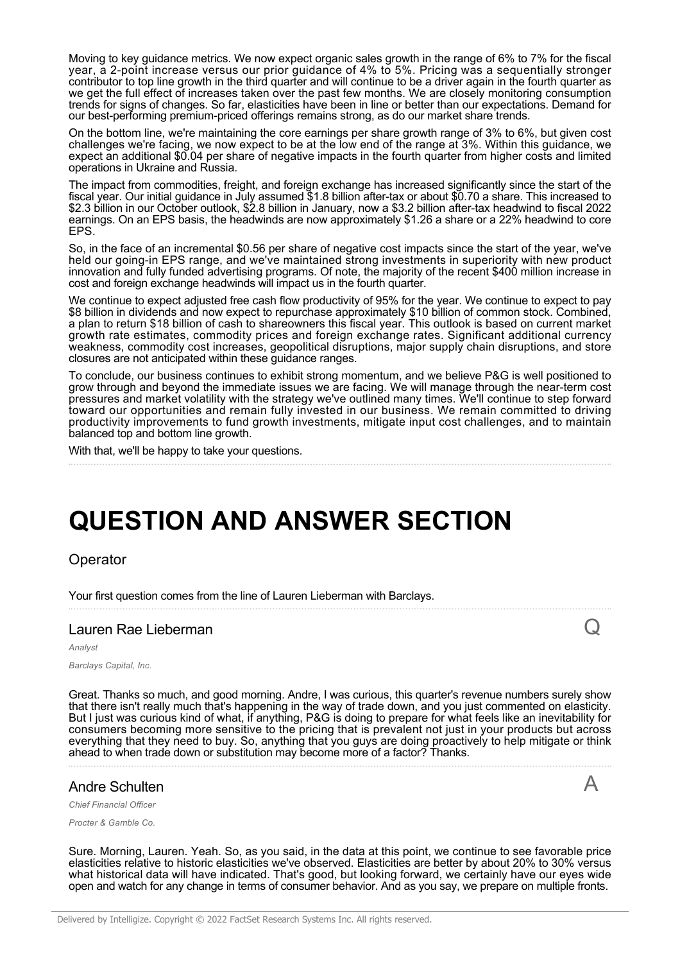Moving to key guidance metrics. We now expect organic sales growth in the range of 6% to 7% for the fiscal year, a 2-point increase versus our prior guidance of 4% to 5%. Pricing was a sequentially stronger contributor to top line growth in the third quarter and will continue to be a driver again in the fourth quarter as we get the full effect of increases taken over the past few months. We are closely monitoring consumption trends for signs of changes. So far, elasticities have been in line or better than our expectations. Demand for our best-performing premium-priced offerings remains strong, as do our market share trends.

On the bottom line, we're maintaining the core earnings per share growth range of 3% to 6%, but given cost challenges we're facing, we now expect to be at the low end of the range at 3%. Within this guidance, we expect an additional \$0.04 per share of negative impacts in the fourth quarter from higher costs and limited operations in Ukraine and Russia.

The impact from commodities, freight, and foreign exchange has increased significantly since the start of the fiscal year. Our initial guidance in July assumed \$1.8 billion after-tax or about \$0.70 a share. This increased to \$2.3 billion in our October outlook, \$2.8 billion in January, now a \$3.2 billion after-tax headwind to fiscal 2022 earnings. On an EPS basis, the headwinds are now approximately \$1.26 a share or a 22% headwind to core EPS.

So, in the face of an incremental \$0.56 per share of negative cost impacts since the start of the year, we've held our going-in EPS range, and we've maintained strong investments in superiority with new product innovation and fully funded advertising programs. Of note, the majority of the recent \$400 million increase in cost and foreign exchange headwinds will impact us in the fourth quarter.

We continue to expect adjusted free cash flow productivity of 95% for the year. We continue to expect to pay \$8 billion in dividends and now expect to repurchase approximately \$10 billion of common stock. Combined, a plan to return \$18 billion of cash to shareowners this fiscal year. This outlook is based on current market growth rate estimates, commodity prices and foreign exchange rates. Significant additional currency weakness, commodity cost increases, geopolitical disruptions, major supply chain disruptions, and store closures are not anticipated within these guidance ranges.

To conclude, our business continues to exhibit strong momentum, and we believe P&G is well positioned to grow through and beyond the immediate issues we are facing. We will manage through the near-term cost pressures and market volatility with the strategy we've outlined many times. We'll continue to step forward toward our opportunities and remain fully invested in our business. We remain committed to driving productivity improvements to fund growth investments, mitigate input cost challenges, and to maintain balanced top and bottom line growth.

With that, we'll be happy to take your questions.

# **QUESTION AND ANSWER SECTION**

Operator

Your first question comes from the line of Lauren Lieberman with Barclays.

#### Lauren Rae Lieberman

*Analyst*

*Barclays Capital, Inc.*

Great. Thanks so much, and good morning. Andre, I was curious, this quarter's revenue numbers surely show that there isn't really much that's happening in the way of trade down, and you just commented on elasticity. But I just was curious kind of what, if anything, P&G is doing to prepare for what feels like an inevitability for consumers becoming more sensitive to the pricing that is prevalent not just in your products but across everything that they need to buy. So, anything that you guys are doing proactively to help mitigate or think ahead to when trade down or substitution may become more of a factor? Thanks.

Q

A

# Andre Schulten

*Chief Financial Officer*

*Procter & Gamble Co.*

Sure. Morning, Lauren. Yeah. So, as you said, in the data at this point, we continue to see favorable price elasticities relative to historic elasticities we've observed. Elasticities are better by about 20% to 30% versus what historical data will have indicated. That's good, but looking forward, we certainly have our eyes wide open and watch for any change in terms of consumer behavior. And as you say, we prepare on multiple fronts.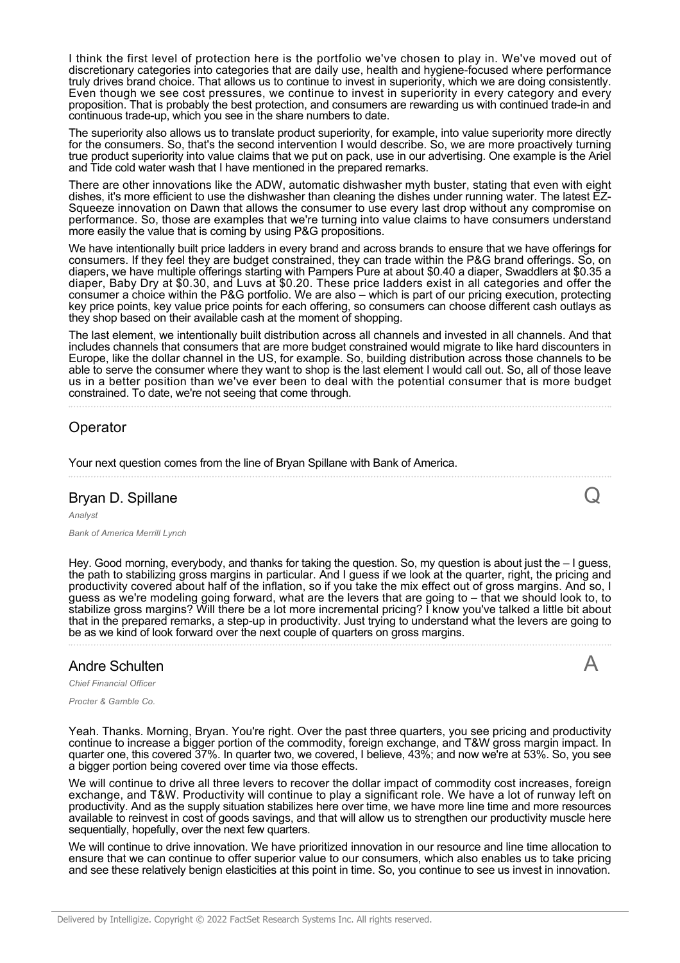I think the first level of protection here is the portfolio we've chosen to play in. We've moved out of discretionary categories into categories that are daily use, health and hygiene-focused where performance truly drives brand choice. That allows us to continue to invest in superiority, which we are doing consistently. Even though we see cost pressures, we continue to invest in superiority in every category and every proposition. That is probably the best protection, and consumers are rewarding us with continued trade-in and continuous trade-up, which you see in the share numbers to date.

The superiority also allows us to translate product superiority, for example, into value superiority more directly for the consumers. So, that's the second intervention I would describe. So, we are more proactively turning true product superiority into value claims that we put on pack, use in our advertising. One example is the Ariel and Tide cold water wash that I have mentioned in the prepared remarks.

There are other innovations like the ADW, automatic dishwasher myth buster, stating that even with eight dishes, it's more efficient to use the dishwasher than cleaning the dishes under running water. The latest EZ-Squeeze innovation on Dawn that allows the consumer to use every last drop without any compromise on performance. So, those are examples that we're turning into value claims to have consumers understand more easily the value that is coming by using P&G propositions.

We have intentionally built price ladders in every brand and across brands to ensure that we have offerings for consumers. If they feel they are budget constrained, they can trade within the P&G brand offerings. So, on diapers, we have multiple offerings starting with Pampers Pure at about \$0.40 a diaper, Swaddlers at \$0.35 a diaper, Baby Dry at \$0.30, and Luvs at \$0.20. These price ladders exist in all categories and offer the consumer a choice within the P&G portfolio. We are also – which is part of our pricing execution, protecting key price points, key value price points for each offering, so consumers can choose different cash outlays as they shop based on their available cash at the moment of shopping.

The last element, we intentionally built distribution across all channels and invested in all channels. And that includes channels that consumers that are more budget constrained would migrate to like hard discounters in Europe, like the dollar channel in the US, for example. So, building distribution across those channels to be able to serve the consumer where they want to shop is the last element I would call out. So, all of those leave us in a better position than we've ever been to deal with the potential consumer that is more budget constrained. To date, we're not seeing that come through.

# Operator

Your next question comes from the line of Bryan Spillane with Bank of America.

# Bryan D. Spillane

*Analyst Bank of America Merrill Lynch*

Hey. Good morning, everybody, and thanks for taking the question. So, my question is about just the – I guess, the path to stabilizing gross margins in particular. And I guess if we look at the quarter, right, the pricing and productivity covered about half of the inflation, so if you take the mix effect out of gross margins. And so, I guess as we're modeling going forward, what are the levers that are going to – that we should look to, to stabilize gross margins? Will there be a lot more incremental pricing? I know you've talked a little bit about that in the prepared remarks, a step-up in productivity. Just trying to understand what the levers are going to be as we kind of look forward over the next couple of quarters on gross margins.

 $\overline{\mathcal{L}}$ 

A

# Andre Schulten

*Chief Financial Officer*

*Procter & Gamble Co.*

Yeah. Thanks. Morning, Bryan. You're right. Over the past three quarters, you see pricing and productivity continue to increase a bigger portion of the commodity, foreign exchange, and T&W gross margin impact. In quarter one, this covered 37%. In quarter two, we covered, I believe, 43%; and now we're at 53%. So, you see a bigger portion being covered over time via those effects.

We will continue to drive all three levers to recover the dollar impact of commodity cost increases, foreign exchange, and T&W. Productivity will continue to play a significant role. We have a lot of runway left on productivity. And as the supply situation stabilizes here over time, we have more line time and more resources available to reinvest in cost of goods savings, and that will allow us to strengthen our productivity muscle here sequentially, hopefully, over the next few quarters.

We will continue to drive innovation. We have prioritized innovation in our resource and line time allocation to ensure that we can continue to offer superior value to our consumers, which also enables us to take pricing and see these relatively benign elasticities at this point in time. So, you continue to see us invest in innovation.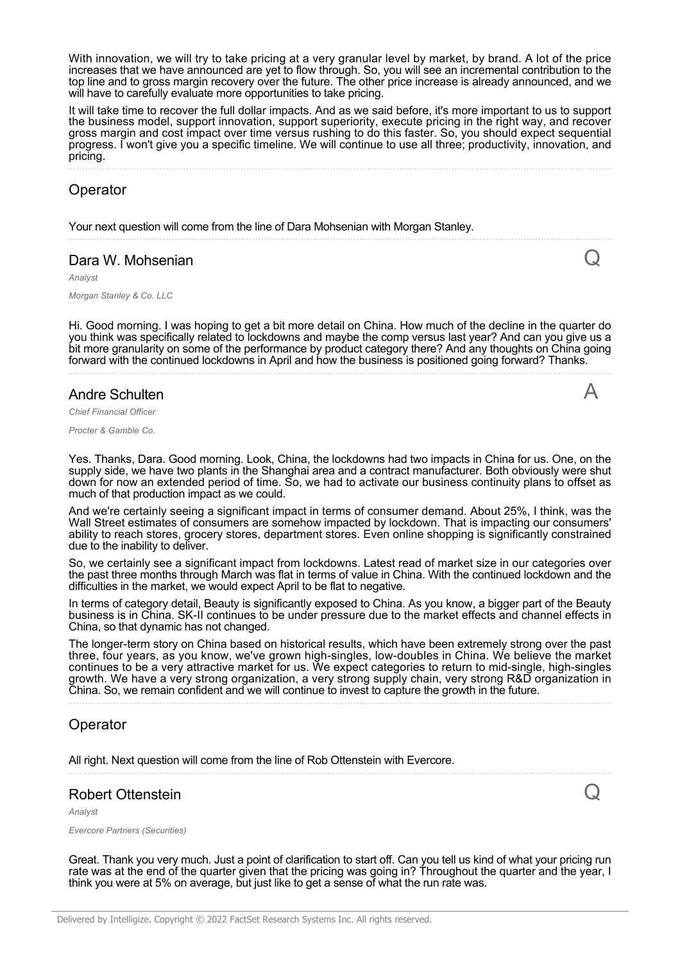With innovation, we will try to take pricing at a very granular level by market, by brand. A lot of the price increases that we have announced are yet to flow through. So, you will see an incremental contribution to the top line and to gross margin recovery over the future. The other price increase is already announced, and we will have to carefully evaluate more opportunities to take pricing.

It will take time to recover the full dollar impacts. And as we said before, it's more important to us to support the business model, support innovation, support superiority, execute pricing in the right way, and recover gross margin and cost impact over time versus rushing to do this faster. So, you should expect sequential progress. I won't give you a specific timeline. We will continue to use all three; productivity, innovation, and pricing.

### Operator

Your next question will come from the line of Dara Mohsenian with Morgan Stanley.

#### Dara W. Mohsenian

*Analyst*

*Morgan Stanley & Co. LLC*

Hi. Good morning. I was hoping to get a bit more detail on China. How much of the decline in the quarter do you think was specifically related to lockdowns and maybe the comp versus last year? And can you give us a bit more granularity on some of the performance by product category there? And any thoughts on China going forward with the continued lockdowns in April and how the business is positioned going forward? Thanks.

 $\overline{C}$ 

A

 ${\bf Q}$ 

# Andre Schulten

*Chief Financial Officer*

*Procter & Gamble Co.*

Yes. Thanks, Dara. Good morning. Look, China, the lockdowns had two impacts in China for us. One, on the supply side, we have two plants in the Shanghai area and a contract manufacturer. Both obviously were shut down for now an extended period of time. So, we had to activate our business continuity plans to offset as much of that production impact as we could.

And we're certainly seeing a significant impact in terms of consumer demand. About 25%, I think, was the Wall Street estimates of consumers are somehow impacted by lockdown. That is impacting our consumers' ability to reach stores, grocery stores, department stores. Even online shopping is significantly constrained due to the inability to deliver.

So, we certainly see a significant impact from lockdowns. Latest read of market size in our categories over the past three months through March was flat in terms of value in China. With the continued lockdown and the difficulties in the market, we would expect April to be flat to negative.

In terms of category detail, Beauty is significantly exposed to China. As you know, a bigger part of the Beauty business is in China. SK-II continues to be under pressure due to the market effects and channel effects in China, so that dynamic has not changed.

The longer-term story on China based on historical results, which have been extremely strong over the past three, four years, as you know, we've grown high-singles, low-doubles in China. We believe the market continues to be a very attractive market for us. We expect categories to return to mid-single, high-singles growth. We have a very strong organization, a very strong supply chain, very strong R&D organization in China. So, we remain confident and we will continue to invest to capture the growth in the future.

#### Operator

All right. Next question will come from the line of Rob Ottenstein with Evercore.

# Robert Ottenstein

*Analyst*

*Evercore Partners (Securities)*

Great. Thank you very much. Just a point of clarification to start off. Can you tell us kind of what your pricing run rate was at the end of the quarter given that the pricing was going in? Throughout the quarter and the year, I think you were at 5% on average, but just like to get a sense of what the run rate was.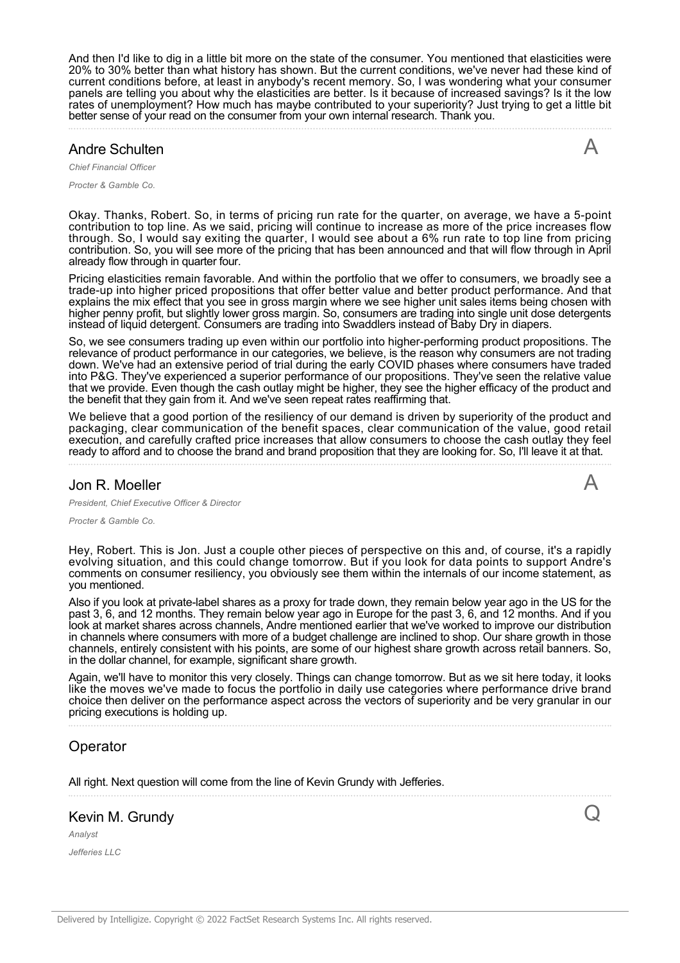And then I'd like to dig in a little bit more on the state of the consumer. You mentioned that elasticities were 20% to 30% better than what history has shown. But the current conditions, we've never had these kind of current conditions before, at least in anybody's recent memory. So, I was wondering what your consumer panels are telling you about why the elasticities are better. Is it because of increased savings? Is it the low rates of unemployment? How much has maybe contributed to your superiority? Just trying to get a little bit better sense of your read on the consumer from your own internal research. Thank you.

# Andre Schulten

*Chief Financial Officer*

*Procter & Gamble Co.*

Okay. Thanks, Robert. So, in terms of pricing run rate for the quarter, on average, we have a 5-point contribution to top line. As we said, pricing will continue to increase as more of the price increases flow through. So, I would say exiting the quarter, I would see about a 6% run rate to top line from pricing contribution. So, you will see more of the pricing that has been announced and that will flow through in April already flow through in quarter four.

Pricing elasticities remain favorable. And within the portfolio that we offer to consumers, we broadly see a trade-up into higher priced propositions that offer better value and better product performance. And that explains the mix effect that you see in gross margin where we see higher unit sales items being chosen with higher penny profit, but slightly lower gross margin. So, consumers are trading into single unit dose detergents instead of liquid detergent. Consumers are trading into Swaddlers instead of Baby Dry in diapers.

So, we see consumers trading up even within our portfolio into higher-performing product propositions. The relevance of product performance in our categories, we believe, is the reason why consumers are not trading down. We've had an extensive period of trial during the early COVID phases where consumers have traded into P&G. They've experienced a superior performance of our propositions. They've seen the relative value that we provide. Even though the cash outlay might be higher, they see the higher efficacy of the product and the benefit that they gain from it. And we've seen repeat rates reaffirming that.

We believe that a good portion of the resiliency of our demand is driven by superiority of the product and packaging, clear communication of the benefit spaces, clear communication of the value, good retail execution, and carefully crafted price increases that allow consumers to choose the cash outlay they feel ready to afford and to choose the brand and brand proposition that they are looking for. So, I'll leave it at that.

#### Jon R. Moeller

 $\bigwedge$ 

Q

A

*President, Chief Executive Officer & Director*

*Procter & Gamble Co.*

Hey, Robert. This is Jon. Just a couple other pieces of perspective on this and, of course, it's a rapidly evolving situation, and this could change tomorrow. But if you look for data points to support Andre's comments on consumer resiliency, you obviously see them within the internals of our income statement, as you mentioned.

Also if you look at private-label shares as a proxy for trade down, they remain below year ago in the US for the past 3, 6, and 12 months. They remain below year ago in Europe for the past 3, 6, and 12 months. And if you look at market shares across channels, Andre mentioned earlier that we've worked to improve our distribution in channels where consumers with more of a budget challenge are inclined to shop. Our share growth in those channels, entirely consistent with his points, are some of our highest share growth across retail banners. So, in the dollar channel, for example, significant share growth.

Again, we'll have to monitor this very closely. Things can change tomorrow. But as we sit here today, it looks like the moves we've made to focus the portfolio in daily use categories where performance drive brand choice then deliver on the performance aspect across the vectors of superiority and be very granular in our pricing executions is holding up.

# Operator

All right. Next question will come from the line of Kevin Grundy with Jefferies.

# Kevin M. Grundy

*Analyst*

*Jefferies LLC*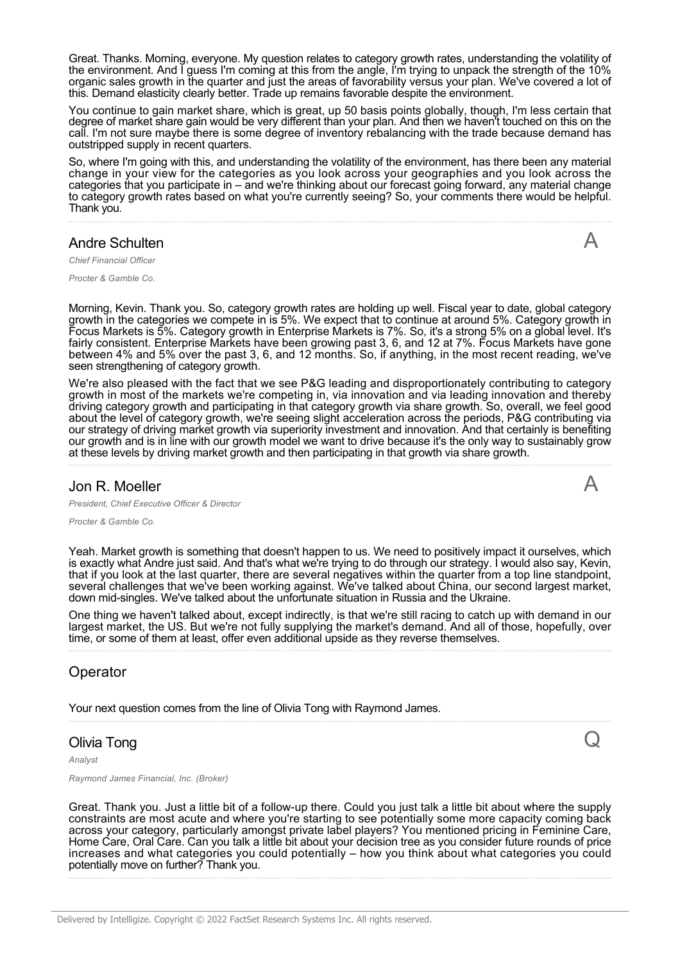Great. Thanks. Morning, everyone. My question relates to category growth rates, understanding the volatility of the environment. And I guess I'm coming at this from the angle, I'm trying to unpack the strength of the 10% organic sales growth in the quarter and just the areas of favorability versus your plan. We've covered a lot of this. Demand elasticity clearly better. Trade up remains favorable despite the environment.

You continue to gain market share, which is great, up 50 basis points globally, though, I'm less certain that degree of market share gain would be very different than your plan. And then we haven't touched on this on the call. I'm not sure maybe there is some degree of inventory rebalancing with the trade because demand has outstripped supply in recent quarters.

So, where I'm going with this, and understanding the volatility of the environment, has there been any material change in your view for the categories as you look across your geographies and you look across the categories that you participate in – and we're thinking about our forecast going forward, any material change to category growth rates based on what you're currently seeing? So, your comments there would be helpful. Thank you.

#### Andre Schulten

A

 $\boldsymbol{\mathsf{A}}$ 

Q

*Chief Financial Officer*

*Procter & Gamble Co.*

Morning, Kevin. Thank you. So, category growth rates are holding up well. Fiscal year to date, global category growth in the categories we compete in is 5%. We expect that to continue at around 5%. Category growth in Focus Markets is 5%. Category growth in Enterprise Markets is 7%. So, it's a strong 5% on a global level. It's fairly consistent. Enterprise Markets have been growing past 3, 6, and 12 at 7%. Focus Markets have gone between 4% and 5% over the past 3, 6, and 12 months. So, if anything, in the most recent reading, we've seen strengthening of category growth.

We're also pleased with the fact that we see P&G leading and disproportionately contributing to category growth in most of the markets we're competing in, via innovation and via leading innovation and thereby driving category growth and participating in that category growth via share growth. So, overall, we feel good about the level of category growth, we're seeing slight acceleration across the periods, P&G contributing via our strategy of driving market growth via superiority investment and innovation. And that certainly is benefiting our growth and is in line with our growth model we want to drive because it's the only way to sustainably grow at these levels by driving market growth and then participating in that growth via share growth.

#### Jon R. Moeller

*President, Chief Executive Officer & Director*

*Procter & Gamble Co.*

Yeah. Market growth is something that doesn't happen to us. We need to positively impact it ourselves, which is exactly what Andre just said. And that's what we're trying to do through our strategy. I would also say, Kevin, that if you look at the last quarter, there are several negatives within the quarter from a top line standpoint, several challenges that we've been working against. We've talked about China, our second largest market, down mid-singles. We've talked about the unfortunate situation in Russia and the Ukraine.

One thing we haven't talked about, except indirectly, is that we're still racing to catch up with demand in our largest market, the US. But we're not fully supplying the market's demand. And all of those, hopefully, over time, or some of them at least, offer even additional upside as they reverse themselves.

# Operator

Your next question comes from the line of Olivia Tong with Raymond James.

#### Olivia Tong

*Analyst*

*Raymond James Financial, Inc. (Broker)*

Great. Thank you. Just a little bit of a follow-up there. Could you just talk a little bit about where the supply constraints are most acute and where you're starting to see potentially some more capacity coming back across your category, particularly amongst private label players? You mentioned pricing in Feminine Care, Home Care, Oral Care. Can you talk a little bit about your decision tree as you consider future rounds of price increases and what categories you could potentially – how you think about what categories you could potentially move on further? Thank you.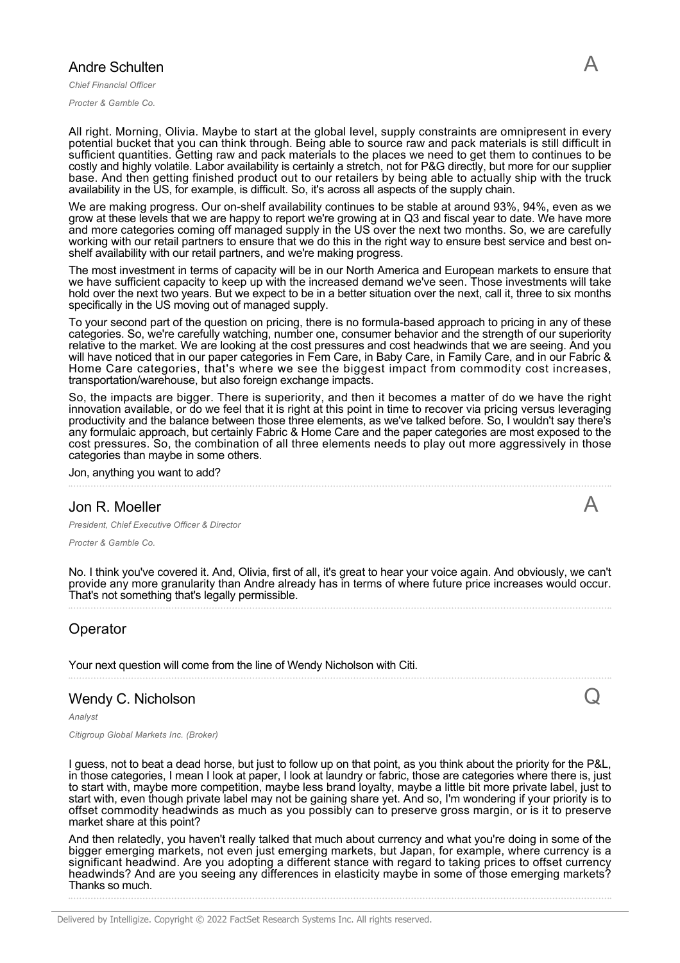#### Andre Schulten

*Chief Financial Officer*

*Procter & Gamble Co.*

All right. Morning, Olivia. Maybe to start at the global level, supply constraints are omnipresent in every potential bucket that you can think through. Being able to source raw and pack materials is still difficult in sufficient quantities. Getting raw and pack materials to the places we need to get them to continues to be costly and highly volatile. Labor availability is certainly a stretch, not for P&G directly, but more for our supplier base. And then getting finished product out to our retailers by being able to actually ship with the truck availability in the US, for example, is difficult. So, it's across all aspects of the supply chain.

We are making progress. Our on-shelf availability continues to be stable at around 93%, 94%, even as we grow at these levels that we are happy to report we're growing at in Q3 and fiscal year to date. We have more and more categories coming off managed supply in the US over the next two months. So, we are carefully working with our retail partners to ensure that we do this in the right way to ensure best service and best onshelf availability with our retail partners, and we're making progress.

The most investment in terms of capacity will be in our North America and European markets to ensure that we have sufficient capacity to keep up with the increased demand we've seen. Those investments will take hold over the next two years. But we expect to be in a better situation over the next, call it, three to six months specifically in the US moving out of managed supply.

To your second part of the question on pricing, there is no formula-based approach to pricing in any of these categories. So, we're carefully watching, number one, consumer behavior and the strength of our superiority relative to the market. We are looking at the cost pressures and cost headwinds that we are seeing. And you will have noticed that in our paper categories in Fem Care, in Baby Care, in Family Care, and in our Fabric & Home Care categories, that's where we see the biggest impact from commodity cost increases, transportation/warehouse, but also foreign exchange impacts.

So, the impacts are bigger. There is superiority, and then it becomes a matter of do we have the right innovation available, or do we feel that it is right at this point in time to recover via pricing versus leveraging productivity and the balance between those three elements, as we've talked before. So, I wouldn't say there's any formulaic approach, but certainly Fabric & Home Care and the paper categories are most exposed to the cost pressures. So, the combination of all three elements needs to play out more aggressively in those categories than maybe in some others.

Jon, anything you want to add?

#### Jon R. Moeller

*President, Chief Executive Officer & Director*

*Procter & Gamble Co.*

No. I think you've covered it. And, Olivia, first of all, it's great to hear your voice again. And obviously, we can't provide any more granularity than Andre already has in terms of where future price increases would occur. That's not something that's legally permissible.

#### Operator

Your next question will come from the line of Wendy Nicholson with Citi.

#### Wendy C. Nicholson

*Analyst*

*Citigroup Global Markets Inc. (Broker)*

I guess, not to beat a dead horse, but just to follow up on that point, as you think about the priority for the P&L, in those categories, I mean I look at paper, I look at laundry or fabric, those are categories where there is, just to start with, maybe more competition, maybe less brand loyalty, maybe a little bit more private label, just to start with, even though private label may not be gaining share yet. And so, I'm wondering if your priority is to offset commodity headwinds as much as you possibly can to preserve gross margin, or is it to preserve market share at this point?

And then relatedly, you haven't really talked that much about currency and what you're doing in some of the bigger emerging markets, not even just emerging markets, but Japan, for example, where currency is a significant headwind. Are you adopting a different stance with regard to taking prices to offset currency headwinds? And are you seeing any differences in elasticity maybe in some of those emerging markets? Thanks so much.

Delivered by Intelligize. Copyright © 2022 FactSet Research Systems Inc. All rights reserved.

A

 $\bigcup$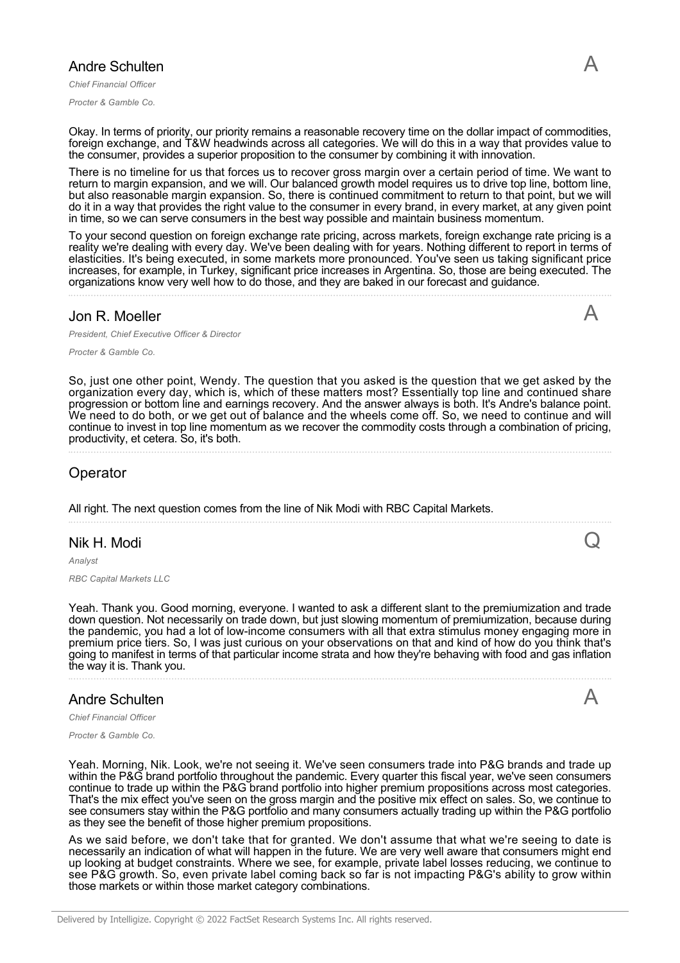#### Andre Schulten

*Chief Financial Officer*

*Procter & Gamble Co.*

Okay. In terms of priority, our priority remains a reasonable recovery time on the dollar impact of commodities, foreign exchange, and T&W headwinds across all categories. We will do this in a way that provides value to the consumer, provides a superior proposition to the consumer by combining it with innovation.

There is no timeline for us that forces us to recover gross margin over a certain period of time. We want to return to margin expansion, and we will. Our balanced growth model requires us to drive top line, bottom line, but also reasonable margin expansion. So, there is continued commitment to return to that point, but we will do it in a way that provides the right value to the consumer in every brand, in every market, at any given point in time, so we can serve consumers in the best way possible and maintain business momentum.

To your second question on foreign exchange rate pricing, across markets, foreign exchange rate pricing is a reality we're dealing with every day. We've been dealing with for years. Nothing different to report in terms of elasticities. It's being executed, in some markets more pronounced. You've seen us taking significant price increases, for example, in Turkey, significant price increases in Argentina. So, those are being executed. The organizations know very well how to do those, and they are baked in our forecast and guidance.

#### Jon R. Moeller

*President, Chief Executive Officer & Director*

*Procter & Gamble Co.*

So, just one other point, Wendy. The question that you asked is the question that we get asked by the organization every day, which is, which of these matters most? Essentially top line and continued share progression or bottom line and earnings recovery. And the answer always is both. It's Andre's balance point. We need to do both, or we get out of balance and the wheels come off. So, we need to continue and will continue to invest in top line momentum as we recover the commodity costs through a combination of pricing, productivity, et cetera. So, it's both.

#### Operator

All right. The next question comes from the line of Nik Modi with RBC Capital Markets.

#### Nik H. Modi

*Analyst*

*RBC Capital Markets LLC*

Yeah. Thank you. Good morning, everyone. I wanted to ask a different slant to the premiumization and trade down question. Not necessarily on trade down, but just slowing momentum of premiumization, because during the pandemic, you had a lot of low-income consumers with all that extra stimulus money engaging more in premium price tiers. So, I was just curious on your observations on that and kind of how do you think that's going to manifest in terms of that particular income strata and how they're behaving with food and gas inflation the way it is. Thank you.

#### Andre Schulten

*Chief Financial Officer*

*Procter & Gamble Co.*

Yeah. Morning, Nik. Look, we're not seeing it. We've seen consumers trade into P&G brands and trade up within the P&G brand portfolio throughout the pandemic. Every quarter this fiscal year, we've seen consumers continue to trade up within the P&G brand portfolio into higher premium propositions across most categories. That's the mix effect you've seen on the gross margin and the positive mix effect on sales. So, we continue to see consumers stay within the P&G portfolio and many consumers actually trading up within the P&G portfolio as they see the benefit of those higher premium propositions.

As we said before, we don't take that for granted. We don't assume that what we're seeing to date is necessarily an indication of what will happen in the future. We are very well aware that consumers might end up looking at budget constraints. Where we see, for example, private label losses reducing, we continue to see P&G growth. So, even private label coming back so far is not impacting P&G's ability to grow within those markets or within those market category combinations.

A

 $\cup$ 

 $\blacktriangle$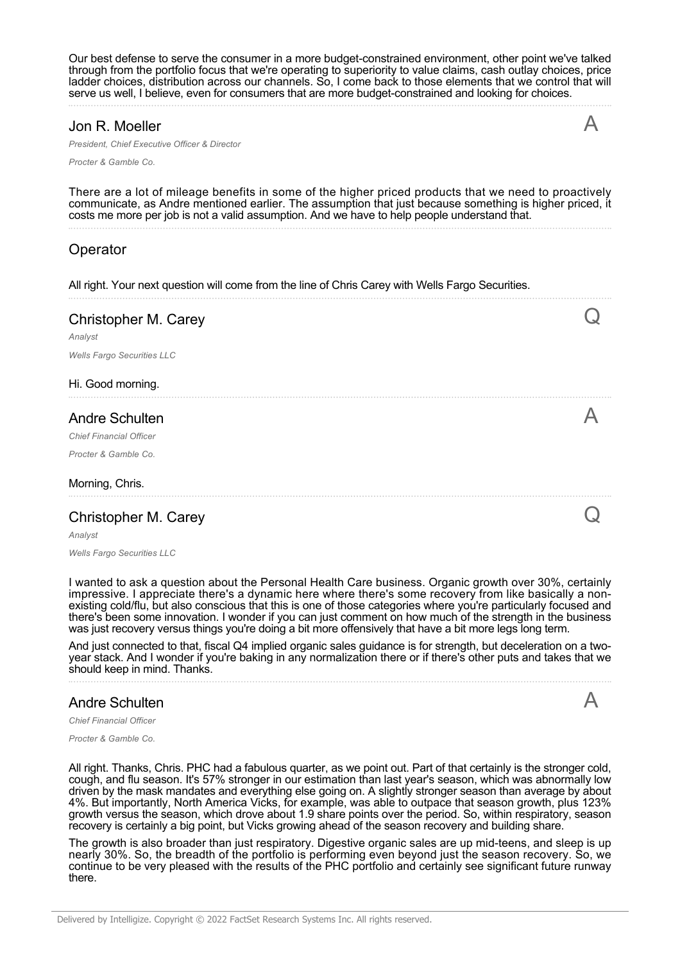Our best defense to serve the consumer in a more budget-constrained environment, other point we've talked through from the portfolio focus that we're operating to superiority to value claims, cash outlay choices, price ladder choices, distribution across our channels. So, I come back to those elements that we control that will serve us well, I believe, even for consumers that are more budget-constrained and looking for choices.

A

 $\boldsymbol{\mathsf{A}}$ 

#### Jon R. Moeller

*President, Chief Executive Officer & Director*

*Procter & Gamble Co.*

There are a lot of mileage benefits in some of the higher priced products that we need to proactively communicate, as Andre mentioned earlier. The assumption that just because something is higher priced, it costs me more per job is not a valid assumption. And we have to help people understand that.

# Operator

All right. Your next question will come from the line of Chris Carey with Wells Fargo Securities.

| Christopher M. Carey              |  |
|-----------------------------------|--|
| Analyst                           |  |
| <b>Wells Fargo Securities LLC</b> |  |
| Hi. Good morning.                 |  |
| <b>Andre Schulten</b>             |  |
| <b>Chief Financial Officer</b>    |  |
| Procter & Gamble Co.              |  |
| Morning, Chris.                   |  |
| Christopher M. Carey              |  |

*Analyst*

*Wells Fargo Securities LLC*

I wanted to ask a question about the Personal Health Care business. Organic growth over 30%, certainly impressive. I appreciate there's a dynamic here where there's some recovery from like basically a nonexisting cold/flu, but also conscious that this is one of those categories where you're particularly focused and there's been some innovation. I wonder if you can just comment on how much of the strength in the business was just recovery versus things you're doing a bit more offensively that have a bit more legs long term.

And just connected to that, fiscal Q4 implied organic sales guidance is for strength, but deceleration on a twoyear stack. And I wonder if you're baking in any normalization there or if there's other puts and takes that we should keep in mind. Thanks.

#### Andre Schulten

*Chief Financial Officer*

*Procter & Gamble Co.*

All right. Thanks, Chris. PHC had a fabulous quarter, as we point out. Part of that certainly is the stronger cold, cough, and flu season. It's 57% stronger in our estimation than last year's season, which was abnormally low driven by the mask mandates and everything else going on. A slightly stronger season than average by about 4%. But importantly, North America Vicks, for example, was able to outpace that season growth, plus 123% growth versus the season, which drove about 1.9 share points over the period. So, within respiratory, season recovery is certainly a big point, but Vicks growing ahead of the season recovery and building share.

The growth is also broader than just respiratory. Digestive organic sales are up mid-teens, and sleep is up nearly 30%. So, the breadth of the portfolio is performing even beyond just the season recovery. So, we continue to be very pleased with the results of the PHC portfolio and certainly see significant future runway there.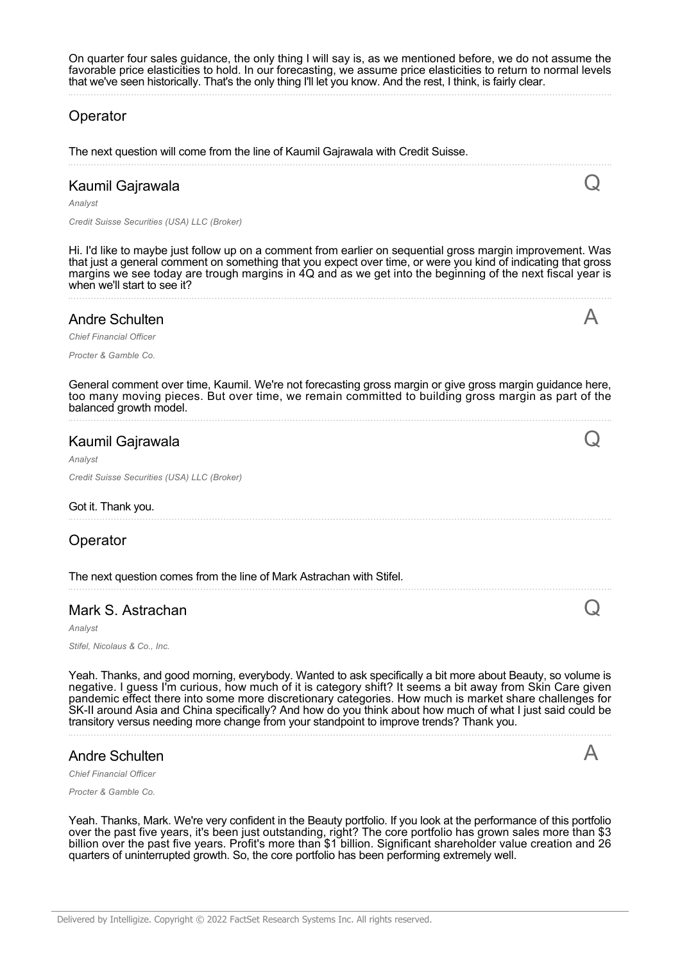# Operator

The next question will come from the line of Kaumil Gajrawala with Credit Suisse.

# Kaumil Gajrawala

*Analyst*

*Credit Suisse Securities (USA) LLC (Broker)*

Hi. I'd like to maybe just follow up on a comment from earlier on sequential gross margin improvement. Was that just a general comment on something that you expect over time, or were you kind of indicating that gross margins we see today are trough margins in 4Q and as we get into the beginning of the next fiscal year is when we'll start to see it?

 ${\bf Q}$ 

 $\bigwedge$ 

Q

Q

 $\bigwedge$ 

#### Andre Schulten

*Chief Financial Officer*

*Procter & Gamble Co.*

General comment over time, Kaumil. We're not forecasting gross margin or give gross margin guidance here, too many moving pieces. But over time, we remain committed to building gross margin as part of the balanced growth model.

#### Kaumil Gajrawala

*Analyst*

*Credit Suisse Securities (USA) LLC (Broker)*

#### Got it. Thank you.

#### Operator

The next question comes from the line of Mark Astrachan with Stifel.

#### Mark S. Astrachan

*Analyst*

*Stifel, Nicolaus & Co., Inc.*

Yeah. Thanks, and good morning, everybody. Wanted to ask specifically a bit more about Beauty, so volume is negative. I guess I'm curious, how much of it is category shift? It seems a bit away from Skin Care given pandemic effect there into some more discretionary categories. How much is market share challenges for SK-II around Asia and China specifically? And how do you think about how much of what I just said could be transitory versus needing more change from your standpoint to improve trends? Thank you.

#### Andre Schulten

*Chief Financial Office* 

*Procter & Gamble Co.*

Yeah. Thanks, Mark. We're very confident in the Beauty portfolio. If you look at the performance of this portfolio over the past five years, it's been just outstanding, right? The core portfolio has grown sales more than \$3 billion over the past five years. Profit's more than \$1 billion. Significant shareholder value creation and 26 quarters of uninterrupted growth. So, the core portfolio has been performing extremely well.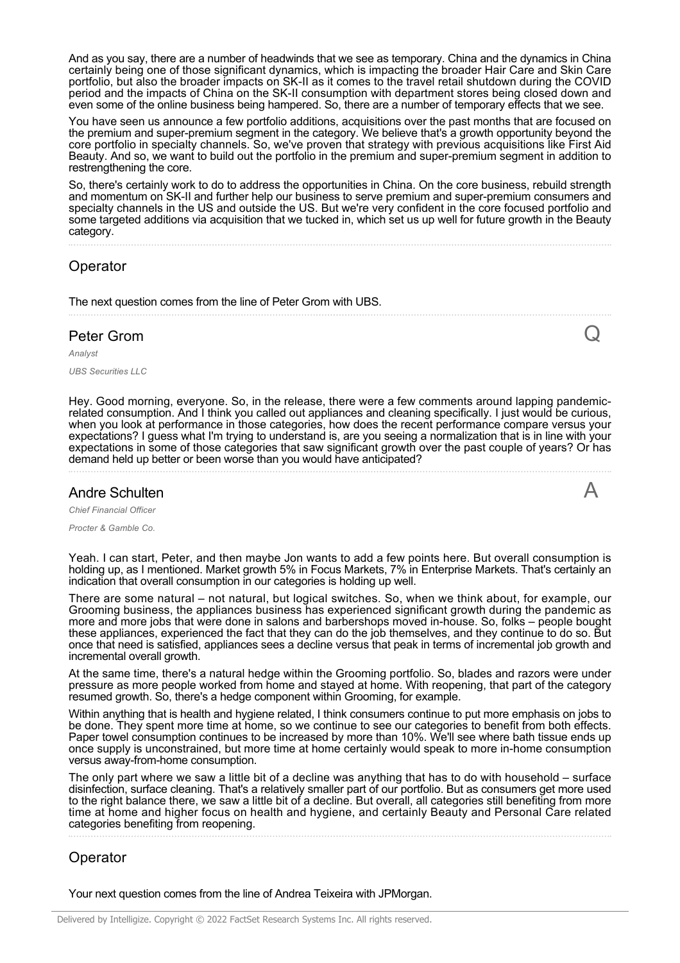And as you say, there are a number of headwinds that we see as temporary. China and the dynamics in China certainly being one of those significant dynamics, which is impacting the broader Hair Care and Skin Care portfolio, but also the broader impacts on SK-II as it comes to the travel retail shutdown during the COVID period and the impacts of China on the SK-II consumption with department stores being closed down and even some of the online business being hampered. So, there are a number of temporary effects that we see.

You have seen us announce a few portfolio additions, acquisitions over the past months that are focused on the premium and super-premium segment in the category. We believe that's a growth opportunity beyond the core portfolio in specialty channels. So, we've proven that strategy with previous acquisitions like First Aid Beauty. And so, we want to build out the portfolio in the premium and super-premium segment in addition to restrengthening the core.

So, there's certainly work to do to address the opportunities in China. On the core business, rebuild strength and momentum on SK-II and further help our business to serve premium and super-premium consumers and specialty channels in the US and outside the US. But we're very confident in the core focused portfolio and some targeted additions via acquisition that we tucked in, which set us up well for future growth in the Beauty category.

# **Operator**

The next question comes from the line of Peter Grom with UBS.

# Peter Grom

*Analyst*

*UBS Securities LLC*

Hey. Good morning, everyone. So, in the release, there were a few comments around lapping pandemicrelated consumption. And I think you called out appliances and cleaning specifically. I just would be curious, when you look at performance in those categories, how does the recent performance compare versus your expectations? I guess what I'm trying to understand is, are you seeing a normalization that is in line with your expectations in some of those categories that saw significant growth over the past couple of years? Or has demand held up better or been worse than you would have anticipated?

 $\bm{\mathsf{Q}}$ 

 $\boldsymbol{\mathsf{A}}$ 

#### Andre Schulten

*Chief Financial Officer*

*Procter & Gamble Co.*

Yeah. I can start, Peter, and then maybe Jon wants to add a few points here. But overall consumption is holding up, as I mentioned. Market growth 5% in Focus Markets, 7% in Enterprise Markets. That's certainly an indication that overall consumption in our categories is holding up well.

There are some natural – not natural, but logical switches. So, when we think about, for example, our Grooming business, the appliances business has experienced significant growth during the pandemic as more and more jobs that were done in salons and barbershops moved in-house. So, folks – people bought these appliances, experienced the fact that they can do the job themselves, and they continue to do so. But once that need is satisfied, appliances sees a decline versus that peak in terms of incremental job growth and incremental overall growth.

At the same time, there's a natural hedge within the Grooming portfolio. So, blades and razors were under pressure as more people worked from home and stayed at home. With reopening, that part of the category resumed growth. So, there's a hedge component within Grooming, for example.

Within anything that is health and hygiene related, I think consumers continue to put more emphasis on jobs to be done. They spent more time at home, so we continue to see our categories to benefit from both effects. Paper towel consumption continues to be increased by more than 10%. We'll see where bath tissue ends up once supply is unconstrained, but more time at home certainly would speak to more in-home consumption versus away-from-home consumption.

The only part where we saw a little bit of a decline was anything that has to do with household – surface disinfection, surface cleaning. That's a relatively smaller part of our portfolio. But as consumers get more used to the right balance there, we saw a little bit of a decline. But overall, all categories still benefiting from more time at home and higher focus on health and hygiene, and certainly Beauty and Personal Care related categories benefiting from reopening.

# **Operator**

Your next question comes from the line of Andrea Teixeira with JPMorgan.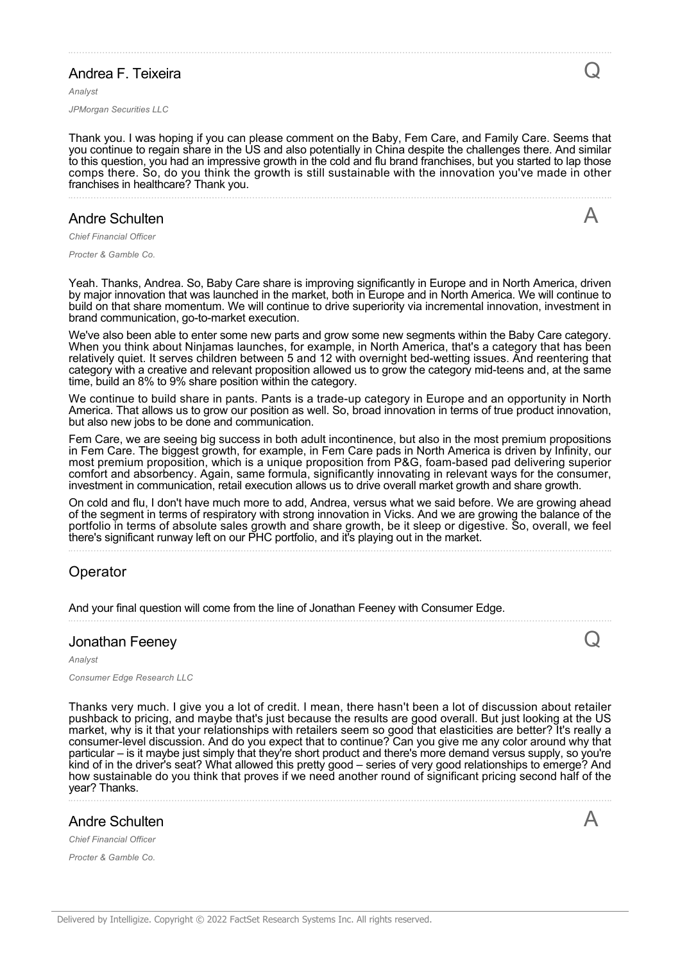# Andrea F. Teixeira

*Analyst*

*JPMorgan Securities LLC*

Thank you. I was hoping if you can please comment on the Baby, Fem Care, and Family Care. Seems that you continue to regain share in the US and also potentially in China despite the challenges there. And similar to this question, you had an impressive growth in the cold and flu brand franchises, but you started to lap those comps there. So, do you think the growth is still sustainable with the innovation you've made in other franchises in healthcare? Thank you.

#### Andre Schulten

*Chief Financial Officer*

*Procter & Gamble Co.*

Yeah. Thanks, Andrea. So, Baby Care share is improving significantly in Europe and in North America, driven by major innovation that was launched in the market, both in Europe and in North America. We will continue to build on that share momentum. We will continue to drive superiority via incremental innovation, investment in brand communication, go-to-market execution.

We've also been able to enter some new parts and grow some new segments within the Baby Care category. When you think about Ninjamas launches, for example, in North America, that's a category that has been relatively quiet. It serves children between 5 and 12 with overnight bed-wetting issues. And reentering that category with a creative and relevant proposition allowed us to grow the category mid-teens and, at the same time, build an 8% to 9% share position within the category.

We continue to build share in pants. Pants is a trade-up category in Europe and an opportunity in North America. That allows us to grow our position as well. So, broad innovation in terms of true product innovation, but also new jobs to be done and communication.

Fem Care, we are seeing big success in both adult incontinence, but also in the most premium propositions in Fem Care. The biggest growth, for example, in Fem Care pads in North America is driven by Infinity, our most premium proposition, which is a unique proposition from P&G, foam-based pad delivering superior comfort and absorbency. Again, same formula, significantly innovating in relevant ways for the consumer, investment in communication, retail execution allows us to drive overall market growth and share growth.

On cold and flu, I don't have much more to add, Andrea, versus what we said before. We are growing ahead of the segment in terms of respiratory with strong innovation in Vicks. And we are growing the balance of the portfolio in terms of absolute sales growth and share growth, be it sleep or digestive. So, overall, we feel there's significant runway left on our PHC portfolio, and it's playing out in the market.

# Operator

And your final question will come from the line of Jonathan Feeney with Consumer Edge.

#### Jonathan Feeney

#### *Analyst*

*Consumer Edge Research LLC*

Thanks very much. I give you a lot of credit. I mean, there hasn't been a lot of discussion about retailer pushback to pricing, and maybe that's just because the results are good overall. But just looking at the US market, why is it that your relationships with retailers seem so good that elasticities are better? It's really a consumer-level discussion. And do you expect that to continue? Can you give me any color around why that particular – is it maybe just simply that they're short product and there's more demand versus supply, so you're kind of in the driver's seat? What allowed this pretty good – series of very good relationships to emerge? And how sustainable do you think that proves if we need another round of significant pricing second half of the year? Thanks.

#### Andre Schulten

*Chief Financial Officer*

*Procter & Gamble Co.*

Q

A

Q

A